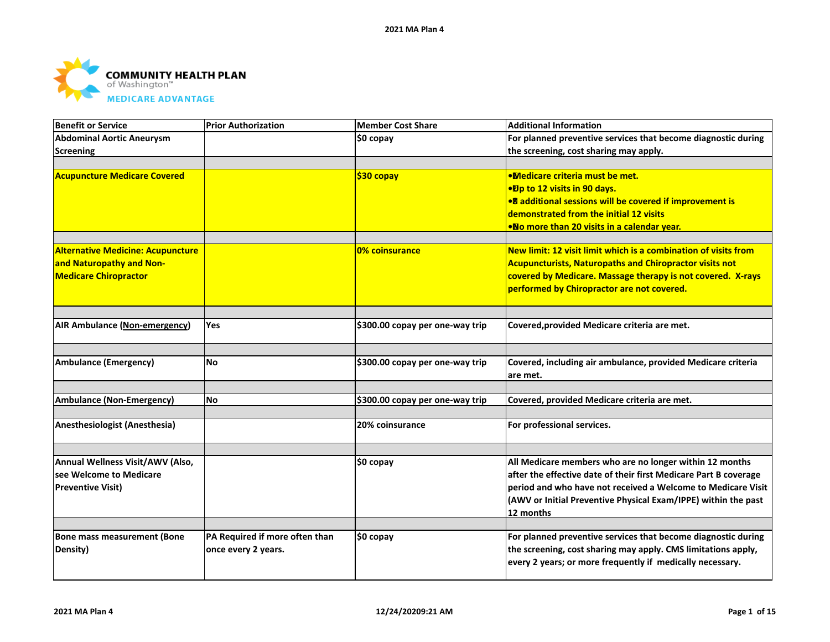

| <b>Benefit or Service</b>                | <b>Prior Authorization</b>     | <b>Member Cost Share</b>        | <b>Additional Information</b>                                                                                              |
|------------------------------------------|--------------------------------|---------------------------------|----------------------------------------------------------------------------------------------------------------------------|
| <b>Abdominal Aortic Aneurysm</b>         |                                | \$0 copay                       | For planned preventive services that become diagnostic during                                                              |
| <b>Screening</b>                         |                                |                                 | the screening, cost sharing may apply.                                                                                     |
| <b>Acupuncture Medicare Covered</b>      |                                | \$30 copay                      | <b>.Medicare criteria must be met.</b>                                                                                     |
|                                          |                                |                                 | •Dp to 12 visits in 90 days.                                                                                               |
|                                          |                                |                                 | .8 additional sessions will be covered if improvement is                                                                   |
|                                          |                                |                                 | demonstrated from the initial 12 visits                                                                                    |
|                                          |                                |                                 | •No more than 20 visits in a calendar year.                                                                                |
| <b>Alternative Medicine: Acupuncture</b> |                                | 0% coinsurance                  | New limit: 12 visit limit which is a combination of visits from                                                            |
| and Naturopathy and Non-                 |                                |                                 | <b>Acupuncturists, Naturopaths and Chiropractor visits not</b>                                                             |
| <b>Medicare Chiropractor</b>             |                                |                                 | covered by Medicare. Massage therapy is not covered. X-rays                                                                |
|                                          |                                |                                 | performed by Chiropractor are not covered.                                                                                 |
|                                          |                                |                                 |                                                                                                                            |
| AIR Ambulance (Non-emergency)            | Yes                            | \$300.00 copay per one-way trip | Covered, provided Medicare criteria are met.                                                                               |
|                                          |                                |                                 |                                                                                                                            |
| <b>Ambulance (Emergency)</b>             | <b>No</b>                      | \$300.00 copay per one-way trip | Covered, including air ambulance, provided Medicare criteria                                                               |
|                                          |                                |                                 | lare met.                                                                                                                  |
| <b>Ambulance (Non-Emergency)</b>         | No.                            | \$300.00 copay per one-way trip | Covered, provided Medicare criteria are met.                                                                               |
|                                          |                                |                                 |                                                                                                                            |
| Anesthesiologist (Anesthesia)            |                                | 20% coinsurance                 | For professional services.                                                                                                 |
|                                          |                                |                                 |                                                                                                                            |
| Annual Wellness Visit/AWV (Also,         |                                | $$0$ copay                      | All Medicare members who are no longer within 12 months                                                                    |
| see Welcome to Medicare                  |                                |                                 | after the effective date of their first Medicare Part B coverage                                                           |
| <b>Preventive Visit)</b>                 |                                |                                 | period and who have not received a Welcome to Medicare Visit                                                               |
|                                          |                                |                                 | (AWV or Initial Preventive Physical Exam/IPPE) within the past                                                             |
|                                          |                                |                                 | 12 months                                                                                                                  |
|                                          |                                |                                 |                                                                                                                            |
| <b>Bone mass measurement (Bone</b>       | PA Required if more often than | \$0 copay                       | For planned preventive services that become diagnostic during                                                              |
| Density)                                 | once every 2 years.            |                                 | the screening, cost sharing may apply. CMS limitations apply,<br>every 2 years; or more frequently if medically necessary. |
|                                          |                                |                                 |                                                                                                                            |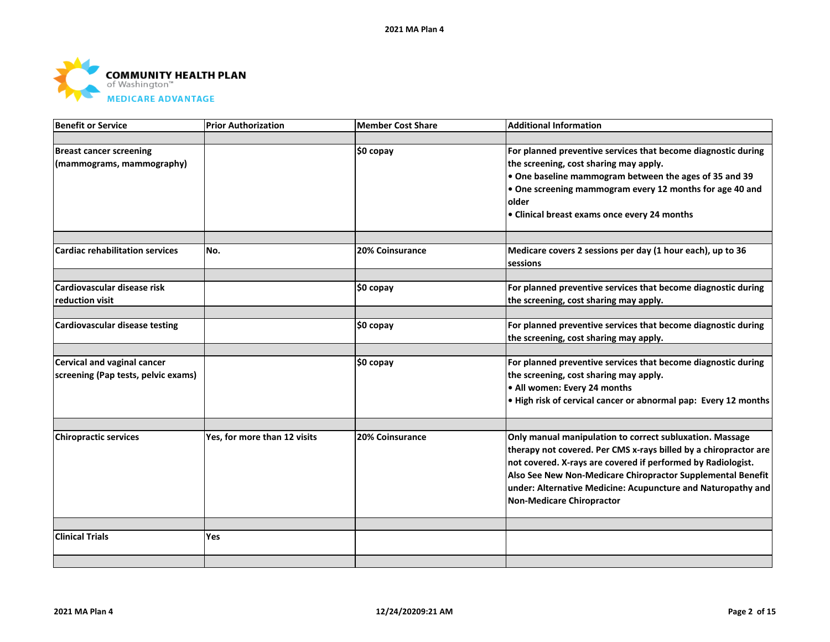

| <b>Benefit or Service</b>              | <b>Prior Authorization</b>   | <b>Member Cost Share</b> | <b>Additional Information</b>                                    |
|----------------------------------------|------------------------------|--------------------------|------------------------------------------------------------------|
|                                        |                              |                          |                                                                  |
| <b>Breast cancer screening</b>         |                              | $$0$ copay               | For planned preventive services that become diagnostic during    |
| (mammograms, mammography)              |                              |                          | the screening, cost sharing may apply.                           |
|                                        |                              |                          | $\bullet$ One baseline mammogram between the ages of 35 and 39   |
|                                        |                              |                          | $\bullet$ One screening mammogram every 12 months for age 40 and |
|                                        |                              |                          | older                                                            |
|                                        |                              |                          | • Clinical breast exams once every 24 months                     |
|                                        |                              |                          |                                                                  |
| <b>Cardiac rehabilitation services</b> | No.                          | 20% Coinsurance          | Medicare covers 2 sessions per day (1 hour each), up to 36       |
|                                        |                              |                          | <b>Isessions</b>                                                 |
| Cardiovascular disease risk            |                              |                          | For planned preventive services that become diagnostic during    |
| reduction visit                        |                              | \$0 copay                |                                                                  |
|                                        |                              |                          | the screening, cost sharing may apply.                           |
| <b>Cardiovascular disease testing</b>  |                              | \$0 copay                | For planned preventive services that become diagnostic during    |
|                                        |                              |                          | the screening, cost sharing may apply.                           |
|                                        |                              |                          |                                                                  |
| <b>Cervical and vaginal cancer</b>     |                              | \$0 copay                | For planned preventive services that become diagnostic during    |
| screening (Pap tests, pelvic exams)    |                              |                          | the screening, cost sharing may apply.                           |
|                                        |                              |                          | . All women: Every 24 months                                     |
|                                        |                              |                          | . High risk of cervical cancer or abnormal pap: Every 12 months  |
|                                        |                              |                          |                                                                  |
| <b>Chiropractic services</b>           | Yes, for more than 12 visits | 20% Coinsurance          | Only manual manipulation to correct subluxation. Massage         |
|                                        |                              |                          | therapy not covered. Per CMS x-rays billed by a chiropractor are |
|                                        |                              |                          | not covered. X-rays are covered if performed by Radiologist.     |
|                                        |                              |                          | Also See New Non-Medicare Chiropractor Supplemental Benefit      |
|                                        |                              |                          | under: Alternative Medicine: Acupuncture and Naturopathy and     |
|                                        |                              |                          | Non-Medicare Chiropractor                                        |
|                                        |                              |                          |                                                                  |
| <b>Clinical Trials</b>                 | Yes                          |                          |                                                                  |
|                                        |                              |                          |                                                                  |
|                                        |                              |                          |                                                                  |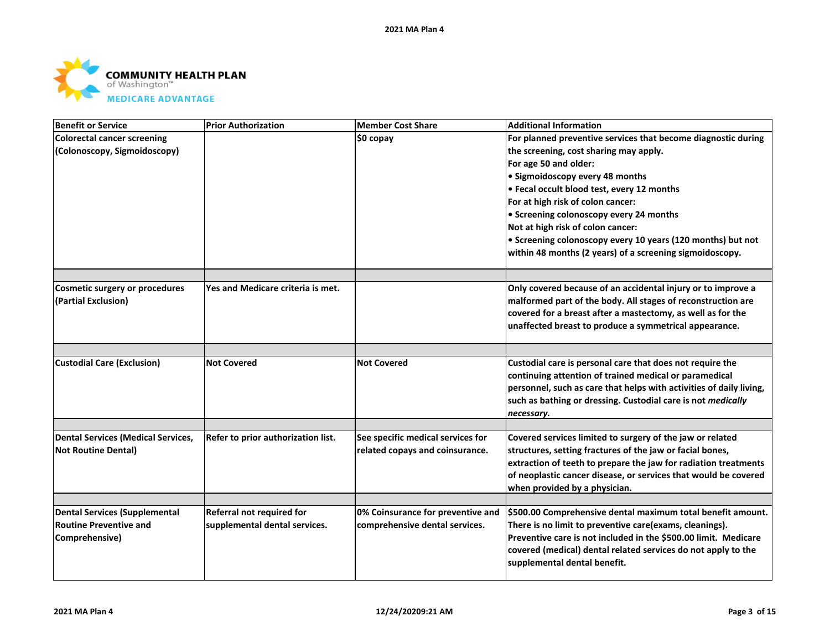

| <b>Benefit or Service</b>          | <b>Prior Authorization</b>         | <b>Member Cost Share</b>          | <b>Additional Information</b>                                                                                               |
|------------------------------------|------------------------------------|-----------------------------------|-----------------------------------------------------------------------------------------------------------------------------|
| <b>Colorectal cancer screening</b> |                                    | \$0 copay                         | For planned preventive services that become diagnostic during                                                               |
| (Colonoscopy, Sigmoidoscopy)       |                                    |                                   | the screening, cost sharing may apply.                                                                                      |
|                                    |                                    |                                   | For age 50 and older:                                                                                                       |
|                                    |                                    |                                   | • Sigmoidoscopy every 48 months                                                                                             |
|                                    |                                    |                                   | • Fecal occult blood test, every 12 months                                                                                  |
|                                    |                                    |                                   | For at high risk of colon cancer:                                                                                           |
|                                    |                                    |                                   | • Screening colonoscopy every 24 months                                                                                     |
|                                    |                                    |                                   | Not at high risk of colon cancer:                                                                                           |
|                                    |                                    |                                   | • Screening colonoscopy every 10 years (120 months) but not                                                                 |
|                                    |                                    |                                   | within 48 months (2 years) of a screening sigmoidoscopy.                                                                    |
|                                    |                                    |                                   |                                                                                                                             |
| Cosmetic surgery or procedures     | Yes and Medicare criteria is met.  |                                   | Only covered because of an accidental injury or to improve a                                                                |
| (Partial Exclusion)                |                                    |                                   | malformed part of the body. All stages of reconstruction are<br>covered for a breast after a mastectomy, as well as for the |
|                                    |                                    |                                   | unaffected breast to produce a symmetrical appearance.                                                                      |
|                                    |                                    |                                   |                                                                                                                             |
|                                    | <b>Not Covered</b>                 | <b>Not Covered</b>                |                                                                                                                             |
| <b>Custodial Care (Exclusion)</b>  |                                    |                                   | Custodial care is personal care that does not require the<br>continuing attention of trained medical or paramedical         |
|                                    |                                    |                                   | personnel, such as care that helps with activities of daily living,                                                         |
|                                    |                                    |                                   | such as bathing or dressing. Custodial care is not medically                                                                |
|                                    |                                    |                                   | necessary.                                                                                                                  |
|                                    |                                    |                                   |                                                                                                                             |
| Dental Services (Medical Services, | Refer to prior authorization list. | See specific medical services for | Covered services limited to surgery of the jaw or related                                                                   |
| <b>Not Routine Dental)</b>         |                                    | related copays and coinsurance.   | structures, setting fractures of the jaw or facial bones,                                                                   |
|                                    |                                    |                                   | extraction of teeth to prepare the jaw for radiation treatments                                                             |
|                                    |                                    |                                   | of neoplastic cancer disease, or services that would be covered                                                             |
|                                    |                                    |                                   | when provided by a physician.                                                                                               |
| Dental Services (Supplemental      | Referral not required for          | 0% Coinsurance for preventive and | \$500.00 Comprehensive dental maximum total benefit amount.                                                                 |
| <b>Routine Preventive and</b>      | supplemental dental services.      | comprehensive dental services.    | There is no limit to preventive care(exams, cleanings).                                                                     |
| Comprehensive)                     |                                    |                                   | Preventive care is not included in the \$500.00 limit. Medicare                                                             |
|                                    |                                    |                                   | covered (medical) dental related services do not apply to the                                                               |
|                                    |                                    |                                   | supplemental dental benefit.                                                                                                |
|                                    |                                    |                                   |                                                                                                                             |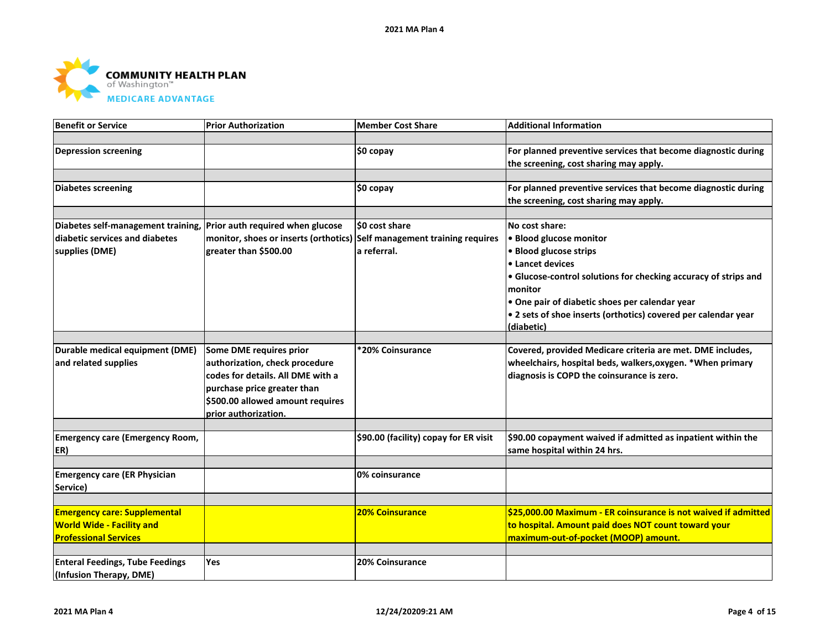

| <b>Benefit or Service</b>                                           | <b>Prior Authorization</b>                                              | <b>Member Cost Share</b>              | <b>Additional Information</b>                                   |
|---------------------------------------------------------------------|-------------------------------------------------------------------------|---------------------------------------|-----------------------------------------------------------------|
|                                                                     |                                                                         |                                       |                                                                 |
| <b>Depression screening</b>                                         |                                                                         | \$0 copay                             | For planned preventive services that become diagnostic during   |
|                                                                     |                                                                         |                                       | the screening, cost sharing may apply.                          |
|                                                                     |                                                                         |                                       |                                                                 |
| <b>Diabetes screening</b>                                           |                                                                         | \$0 copay                             | For planned preventive services that become diagnostic during   |
|                                                                     |                                                                         |                                       | the screening, cost sharing may apply.                          |
|                                                                     |                                                                         |                                       |                                                                 |
| Diabetes self-management training, Prior auth required when glucose |                                                                         | \$0 cost share                        | No cost share:                                                  |
| diabetic services and diabetes                                      | monitor, shoes or inserts (orthotics) Self management training requires |                                       | • Blood glucose monitor                                         |
| supplies (DME)                                                      | greater than \$500.00                                                   | a referral.                           | • Blood glucose strips                                          |
|                                                                     |                                                                         |                                       | • Lancet devices                                                |
|                                                                     |                                                                         |                                       | • Glucose-control solutions for checking accuracy of strips and |
|                                                                     |                                                                         |                                       | monitor                                                         |
|                                                                     |                                                                         |                                       | • One pair of diabetic shoes per calendar year                  |
|                                                                     |                                                                         |                                       | • 2 sets of shoe inserts (orthotics) covered per calendar year  |
|                                                                     |                                                                         |                                       | (diabetic)                                                      |
|                                                                     |                                                                         |                                       |                                                                 |
| Durable medical equipment (DME)                                     | Some DME requires prior                                                 | *20% Coinsurance                      | Covered, provided Medicare criteria are met. DME includes,      |
| and related supplies                                                | authorization, check procedure                                          |                                       | wheelchairs, hospital beds, walkers, oxygen. * When primary     |
|                                                                     | codes for details. All DME with a                                       |                                       | diagnosis is COPD the coinsurance is zero.                      |
|                                                                     | purchase price greater than                                             |                                       |                                                                 |
|                                                                     | \$500.00 allowed amount requires                                        |                                       |                                                                 |
|                                                                     | prior authorization.                                                    |                                       |                                                                 |
|                                                                     |                                                                         |                                       |                                                                 |
| <b>Emergency care (Emergency Room,</b>                              |                                                                         | \$90.00 (facility) copay for ER visit | \$90.00 copayment waived if admitted as inpatient within the    |
| ER)                                                                 |                                                                         |                                       | same hospital within 24 hrs.                                    |
|                                                                     |                                                                         |                                       |                                                                 |
| <b>Emergency care (ER Physician</b>                                 |                                                                         | 0% coinsurance                        |                                                                 |
| Service)                                                            |                                                                         |                                       |                                                                 |
| <b>Emergency care: Supplemental</b>                                 |                                                                         | <b>20% Coinsurance</b>                | \$25,000.00 Maximum - ER coinsurance is not waived if admitted  |
| <b>World Wide - Facility and</b>                                    |                                                                         |                                       | to hospital. Amount paid does NOT count toward your             |
| <b>Professional Services</b>                                        |                                                                         |                                       | maximum-out-of-pocket (MOOP) amount.                            |
|                                                                     |                                                                         |                                       |                                                                 |
| <b>Enteral Feedings, Tube Feedings</b>                              | Yes                                                                     | 20% Coinsurance                       |                                                                 |
| (Infusion Therapy, DME)                                             |                                                                         |                                       |                                                                 |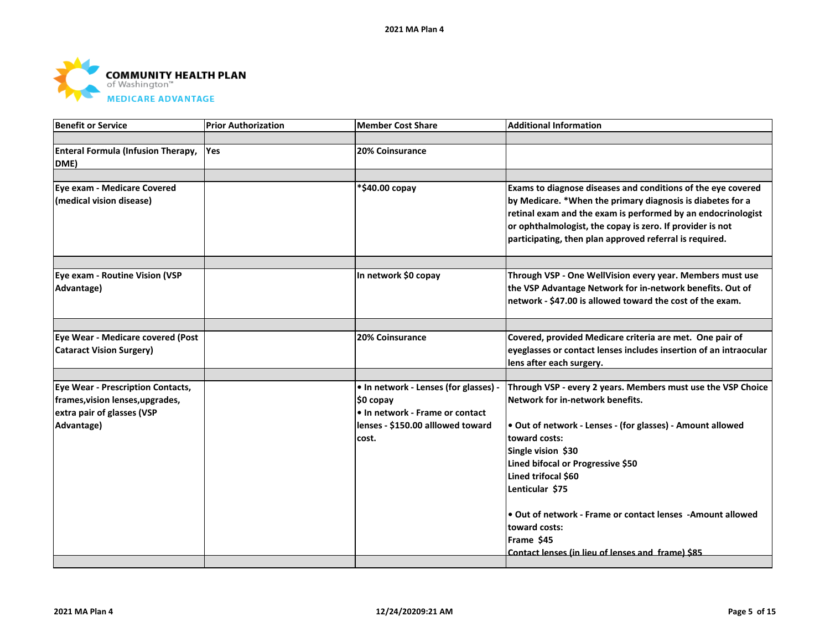

| Benefit or Service                                                                                                       | <b>Prior Authorization</b> | <b>Member Cost Share</b>                                                                                                            | <b>Additional Information</b>                                                                                                                                                                                                                                                                                                                                                                                                           |
|--------------------------------------------------------------------------------------------------------------------------|----------------------------|-------------------------------------------------------------------------------------------------------------------------------------|-----------------------------------------------------------------------------------------------------------------------------------------------------------------------------------------------------------------------------------------------------------------------------------------------------------------------------------------------------------------------------------------------------------------------------------------|
|                                                                                                                          |                            |                                                                                                                                     |                                                                                                                                                                                                                                                                                                                                                                                                                                         |
| <b>Enteral Formula (Infusion Therapy,</b><br>DME)                                                                        | <b>Yes</b>                 | 20% Coinsurance                                                                                                                     |                                                                                                                                                                                                                                                                                                                                                                                                                                         |
|                                                                                                                          |                            |                                                                                                                                     |                                                                                                                                                                                                                                                                                                                                                                                                                                         |
| <b>Eye exam - Medicare Covered</b><br>(medical vision disease)                                                           |                            | *\$40.00 copay                                                                                                                      | Exams to diagnose diseases and conditions of the eye covered<br>by Medicare. *When the primary diagnosis is diabetes for a<br>retinal exam and the exam is performed by an endocrinologist<br>or ophthalmologist, the copay is zero. If provider is not<br>participating, then plan approved referral is required.                                                                                                                      |
|                                                                                                                          |                            |                                                                                                                                     |                                                                                                                                                                                                                                                                                                                                                                                                                                         |
| Eye exam - Routine Vision (VSP<br>Advantage)                                                                             |                            | In network \$0 copay                                                                                                                | Through VSP - One WellVision every year. Members must use<br>the VSP Advantage Network for in-network benefits. Out of<br>network - \$47.00 is allowed toward the cost of the exam.                                                                                                                                                                                                                                                     |
|                                                                                                                          |                            |                                                                                                                                     |                                                                                                                                                                                                                                                                                                                                                                                                                                         |
| Eye Wear - Medicare covered (Post<br><b>Cataract Vision Surgery)</b>                                                     |                            | 20% Coinsurance                                                                                                                     | Covered, provided Medicare criteria are met. One pair of<br>eyeglasses or contact lenses includes insertion of an intraocular<br>lens after each surgery.                                                                                                                                                                                                                                                                               |
|                                                                                                                          |                            |                                                                                                                                     |                                                                                                                                                                                                                                                                                                                                                                                                                                         |
| <b>Eye Wear - Prescription Contacts,</b><br>frames, vision lenses, upgrades,<br>extra pair of glasses (VSP<br>Advantage) |                            | • In network - Lenses (for glasses) -<br>\$0 copay<br>• In network - Frame or contact<br>lenses - \$150.00 alllowed toward<br>cost. | Through VSP - every 2 years. Members must use the VSP Choice<br>Network for in-network benefits.<br>. Out of network - Lenses - (for glasses) - Amount allowed<br>toward costs:<br>Single vision \$30<br>Lined bifocal or Progressive \$50<br>Lined trifocal \$60<br>Lenticular \$75<br>• Out of network - Frame or contact lenses - Amount allowed<br>toward costs:<br>Frame \$45<br>Contact lenses (in lieu of lenses and frame) \$85 |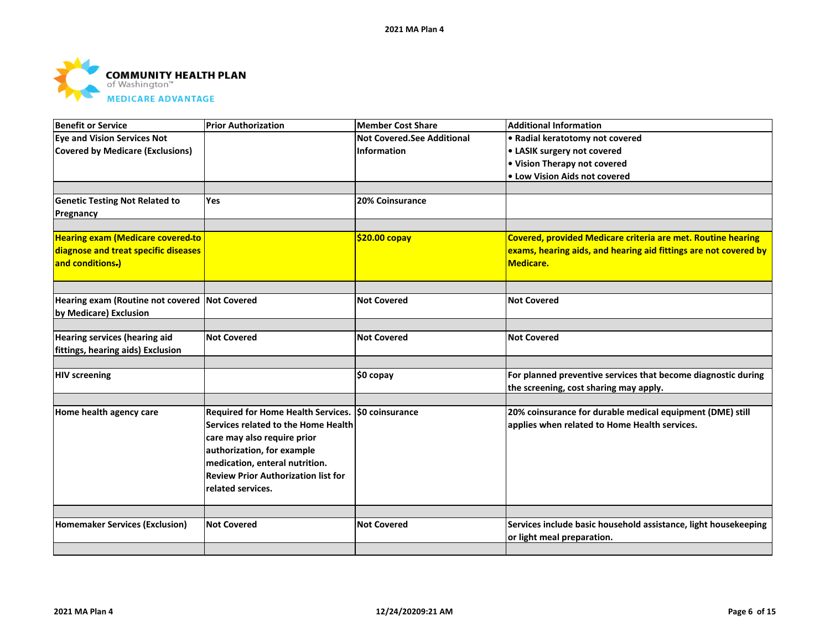

| Benefit or Service                            | <b>Prior Authorization</b>                         | <b>Member Cost Share</b>          | <b>Additional Information</b>                                       |
|-----------------------------------------------|----------------------------------------------------|-----------------------------------|---------------------------------------------------------------------|
| <b>Eye and Vision Services Not</b>            |                                                    | <b>Not Covered.See Additional</b> | • Radial keratotomy not covered                                     |
| Covered by Medicare (Exclusions)              |                                                    | <b>Information</b>                | • LASIK surgery not covered                                         |
|                                               |                                                    |                                   | • Vision Therapy not covered                                        |
|                                               |                                                    |                                   | • Low Vision Aids not covered                                       |
|                                               |                                                    |                                   |                                                                     |
| <b>Genetic Testing Not Related to</b>         | Yes                                                | <b>20% Coinsurance</b>            |                                                                     |
| Pregnancy                                     |                                                    |                                   |                                                                     |
|                                               |                                                    |                                   |                                                                     |
| <b>Hearing exam (Medicare covered-to</b>      |                                                    | $$20.00$ copay                    | <b>Covered, provided Medicare criteria are met. Routine hearing</b> |
| diagnose and treat specific diseases          |                                                    |                                   | exams, hearing aids, and hearing aid fittings are not covered by    |
| and conditions.)                              |                                                    |                                   | Medicare.                                                           |
|                                               |                                                    |                                   |                                                                     |
|                                               |                                                    |                                   |                                                                     |
| Hearing exam (Routine not covered Not Covered |                                                    | <b>Not Covered</b>                | <b>Not Covered</b>                                                  |
| by Medicare) Exclusion                        |                                                    |                                   |                                                                     |
|                                               |                                                    |                                   |                                                                     |
| <b>Hearing services (hearing aid</b>          | <b>Not Covered</b>                                 | <b>Not Covered</b>                | <b>Not Covered</b>                                                  |
| fittings, hearing aids) Exclusion             |                                                    |                                   |                                                                     |
|                                               |                                                    |                                   |                                                                     |
| <b>HIV</b> screening                          |                                                    | \$0 copay                         | For planned preventive services that become diagnostic during       |
|                                               |                                                    |                                   | the screening, cost sharing may apply.                              |
|                                               |                                                    |                                   |                                                                     |
| Home health agency care                       | Required for Home Health Services. \$0 coinsurance |                                   | 20% coinsurance for durable medical equipment (DME) still           |
|                                               | Services related to the Home Health                |                                   | applies when related to Home Health services.                       |
|                                               | care may also require prior                        |                                   |                                                                     |
|                                               | authorization, for example                         |                                   |                                                                     |
|                                               | medication, enteral nutrition.                     |                                   |                                                                     |
|                                               | <b>Review Prior Authorization list for</b>         |                                   |                                                                     |
|                                               | related services.                                  |                                   |                                                                     |
|                                               |                                                    |                                   |                                                                     |
|                                               |                                                    |                                   |                                                                     |
| <b>Homemaker Services (Exclusion)</b>         | <b>Not Covered</b>                                 | <b>Not Covered</b>                | Services include basic household assistance, light housekeeping     |
|                                               |                                                    |                                   | or light meal preparation.                                          |
|                                               |                                                    |                                   |                                                                     |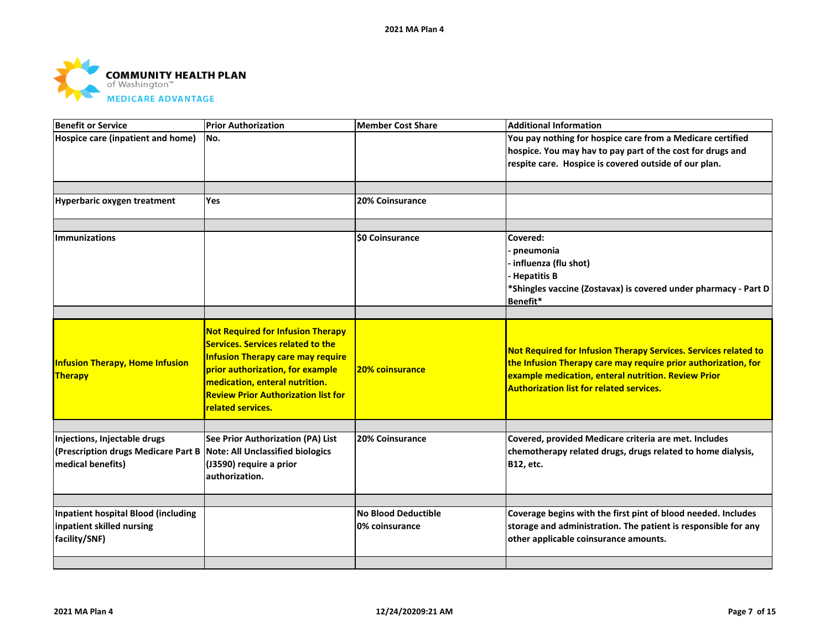

| <b>Benefit or Service</b>                                                                                                 | <b>Prior Authorization</b>                                                                                                                                                                                                                                                | <b>Member Cost Share</b>                     | <b>Additional Information</b>                                                                                                                                                                                                               |
|---------------------------------------------------------------------------------------------------------------------------|---------------------------------------------------------------------------------------------------------------------------------------------------------------------------------------------------------------------------------------------------------------------------|----------------------------------------------|---------------------------------------------------------------------------------------------------------------------------------------------------------------------------------------------------------------------------------------------|
| Hospice care (inpatient and home)                                                                                         | No.                                                                                                                                                                                                                                                                       |                                              | You pay nothing for hospice care from a Medicare certified<br>hospice. You may hav to pay part of the cost for drugs and<br>respite care. Hospice is covered outside of our plan.                                                           |
| Hyperbaric oxygen treatment                                                                                               | Yes                                                                                                                                                                                                                                                                       | 20% Coinsurance                              |                                                                                                                                                                                                                                             |
| <b>Immunizations</b>                                                                                                      |                                                                                                                                                                                                                                                                           | <b>\$0 Coinsurance</b>                       | Covered:<br>pneumonia<br>· influenza (flu shot)<br><b>Hepatitis B</b><br>*Shingles vaccine (Zostavax) is covered under pharmacy - Part D<br>Benefit*                                                                                        |
| <b>Infusion Therapy, Home Infusion</b><br>Therapy                                                                         | <b>Not Required for Infusion Therapy</b><br><b>Services. Services related to the</b><br><b>Infusion Therapy care may require</b><br>prior authorization, for example<br>medication, enteral nutrition.<br><b>Review Prior Authorization list for</b><br>related services. | 20% coinsurance                              | Not Required for Infusion Therapy Services. Services related to<br>the Infusion Therapy care may require prior authorization, for<br>example medication, enteral nutrition. Review Prior<br><b>Authorization list for related services.</b> |
| Injections, Injectable drugs<br>(Prescription drugs Medicare Part B Note: All Unclassified biologics<br>medical benefits) | See Prior Authorization (PA) List<br>(J3590) require a prior<br>authorization.                                                                                                                                                                                            | 20% Coinsurance                              | Covered, provided Medicare criteria are met. Includes<br>chemotherapy related drugs, drugs related to home dialysis,<br><b>B12, etc.</b>                                                                                                    |
| <b>Inpatient hospital Blood (including</b><br>inpatient skilled nursing<br>facility/SNF)                                  |                                                                                                                                                                                                                                                                           | <b>No Blood Deductible</b><br>0% coinsurance | Coverage begins with the first pint of blood needed. Includes<br>storage and administration. The patient is responsible for any<br>other applicable coinsurance amounts.                                                                    |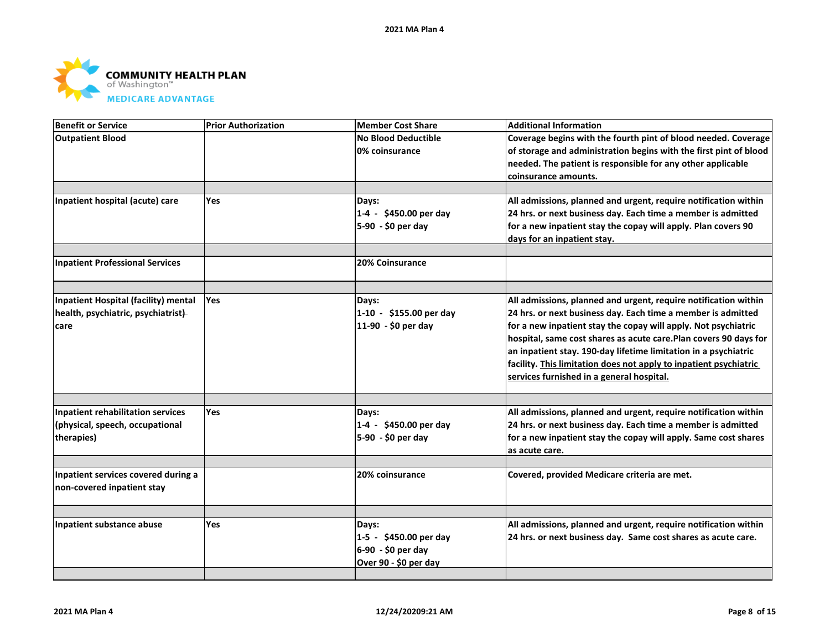

| <b>Benefit or Service</b>                | <b>Prior Authorization</b> | <b>Member Cost Share</b>   | <b>Additional Information</b>                                     |
|------------------------------------------|----------------------------|----------------------------|-------------------------------------------------------------------|
| <b>Outpatient Blood</b>                  |                            | <b>No Blood Deductible</b> | Coverage begins with the fourth pint of blood needed. Coverage    |
|                                          |                            | 0% coinsurance             | of storage and administration begins with the first pint of blood |
|                                          |                            |                            | needed. The patient is responsible for any other applicable       |
|                                          |                            |                            | coinsurance amounts.                                              |
|                                          |                            |                            |                                                                   |
| Inpatient hospital (acute) care          | Yes                        | Days:                      | All admissions, planned and urgent, require notification within   |
|                                          |                            | 1-4 - \$450.00 per day     | 24 hrs. or next business day. Each time a member is admitted      |
|                                          |                            | 5-90 - \$0 per day         | for a new inpatient stay the copay will apply. Plan covers 90     |
|                                          |                            |                            | days for an inpatient stay.                                       |
|                                          |                            |                            |                                                                   |
| <b>Inpatient Professional Services</b>   |                            | <b>20% Coinsurance</b>     |                                                                   |
|                                          |                            |                            |                                                                   |
| Inpatient Hospital (facility) mental     | Yes                        | Days:                      | All admissions, planned and urgent, require notification within   |
| health, psychiatric, psychiatrist)       |                            | 1-10 - \$155.00 per day    | 24 hrs. or next business day. Each time a member is admitted      |
| care                                     |                            | 11-90 - \$0 per day        | for a new inpatient stay the copay will apply. Not psychiatric    |
|                                          |                            |                            | hospital, same cost shares as acute care. Plan covers 90 days for |
|                                          |                            |                            | an inpatient stay. 190-day lifetime limitation in a psychiatric   |
|                                          |                            |                            | facility. This limitation does not apply to inpatient psychiatric |
|                                          |                            |                            | services furnished in a general hospital.                         |
|                                          |                            |                            |                                                                   |
| <b>Inpatient rehabilitation services</b> | Yes                        | Days:                      | All admissions, planned and urgent, require notification within   |
| (physical, speech, occupational          |                            | 1-4 - \$450.00 per day     | 24 hrs. or next business day. Each time a member is admitted      |
| therapies)                               |                            | 5-90 - \$0 per day         | for a new inpatient stay the copay will apply. Same cost shares   |
|                                          |                            |                            | as acute care.                                                    |
|                                          |                            |                            |                                                                   |
| Inpatient services covered during a      |                            | 20% coinsurance            | Covered, provided Medicare criteria are met.                      |
| non-covered inpatient stay               |                            |                            |                                                                   |
|                                          |                            |                            |                                                                   |
| Inpatient substance abuse                | <b>Yes</b>                 | Days:                      | All admissions, planned and urgent, require notification within   |
|                                          |                            | 1-5 - \$450.00 per day     | 24 hrs. or next business day. Same cost shares as acute care.     |
|                                          |                            | 6-90 - \$0 per day         |                                                                   |
|                                          |                            | Over 90 - \$0 per day      |                                                                   |
|                                          |                            |                            |                                                                   |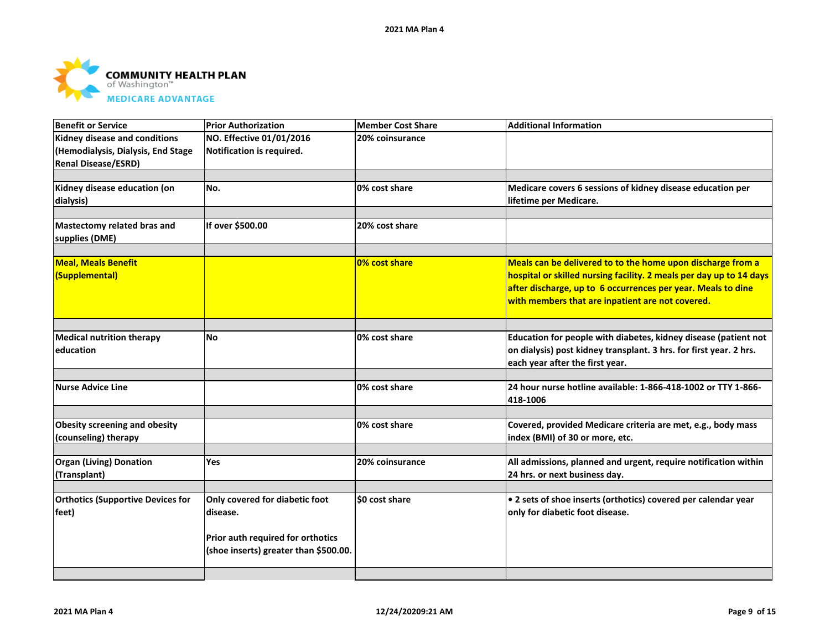

| <b>Benefit or Service</b>                     | <b>Prior Authorization</b>            | <b>Member Cost Share</b> | <b>Additional Information</b>                                                                                                         |
|-----------------------------------------------|---------------------------------------|--------------------------|---------------------------------------------------------------------------------------------------------------------------------------|
| Kidney disease and conditions                 | NO. Effective 01/01/2016              | 20% coinsurance          |                                                                                                                                       |
| (Hemodialysis, Dialysis, End Stage            | Notification is required.             |                          |                                                                                                                                       |
| <b>Renal Disease/ESRD)</b>                    |                                       |                          |                                                                                                                                       |
|                                               |                                       |                          |                                                                                                                                       |
| Kidney disease education (on                  | No.                                   | 0% cost share            | Medicare covers 6 sessions of kidney disease education per                                                                            |
| dialysis)                                     |                                       |                          | lifetime per Medicare.                                                                                                                |
|                                               |                                       |                          |                                                                                                                                       |
| Mastectomy related bras and                   | If over \$500.00                      | 20% cost share           |                                                                                                                                       |
| supplies (DME)                                |                                       |                          |                                                                                                                                       |
|                                               |                                       |                          |                                                                                                                                       |
| <b>Meal, Meals Benefit</b>                    |                                       | 0% cost share            | Meals can be delivered to to the home upon discharge from a                                                                           |
| (Supplemental)                                |                                       |                          | hospital or skilled nursing facility. 2 meals per day up to 14 days                                                                   |
|                                               |                                       |                          | after discharge, up to 6 occurrences per year. Meals to dine                                                                          |
|                                               |                                       |                          | with members that are inpatient are not covered.                                                                                      |
|                                               |                                       |                          |                                                                                                                                       |
|                                               | <b>No</b>                             | 0% cost share            |                                                                                                                                       |
| <b>Medical nutrition therapy</b><br>education |                                       |                          | Education for people with diabetes, kidney disease (patient not<br>on dialysis) post kidney transplant. 3 hrs. for first year. 2 hrs. |
|                                               |                                       |                          |                                                                                                                                       |
|                                               |                                       |                          | each year after the first year.                                                                                                       |
| <b>Nurse Advice Line</b>                      |                                       | 0% cost share            | 24 hour nurse hotline available: 1-866-418-1002 or TTY 1-866-                                                                         |
|                                               |                                       |                          | 418-1006                                                                                                                              |
|                                               |                                       |                          |                                                                                                                                       |
| <b>Obesity screening and obesity</b>          |                                       | 0% cost share            | Covered, provided Medicare criteria are met, e.g., body mass                                                                          |
| (counseling) therapy                          |                                       |                          | index (BMI) of 30 or more, etc.                                                                                                       |
|                                               |                                       |                          |                                                                                                                                       |
| <b>Organ (Living) Donation</b>                | Yes                                   | 20% coinsurance          | All admissions, planned and urgent, require notification within                                                                       |
| (Transplant)                                  |                                       |                          | 24 hrs. or next business day.                                                                                                         |
|                                               |                                       |                          |                                                                                                                                       |
| <b>Orthotics (Supportive Devices for</b>      | Only covered for diabetic foot        | \$0 cost share           | . 2 sets of shoe inserts (orthotics) covered per calendar year                                                                        |
| feet)                                         | disease.                              |                          | only for diabetic foot disease.                                                                                                       |
|                                               |                                       |                          |                                                                                                                                       |
|                                               | Prior auth required for orthotics     |                          |                                                                                                                                       |
|                                               | (shoe inserts) greater than \$500.00. |                          |                                                                                                                                       |
|                                               |                                       |                          |                                                                                                                                       |
|                                               |                                       |                          |                                                                                                                                       |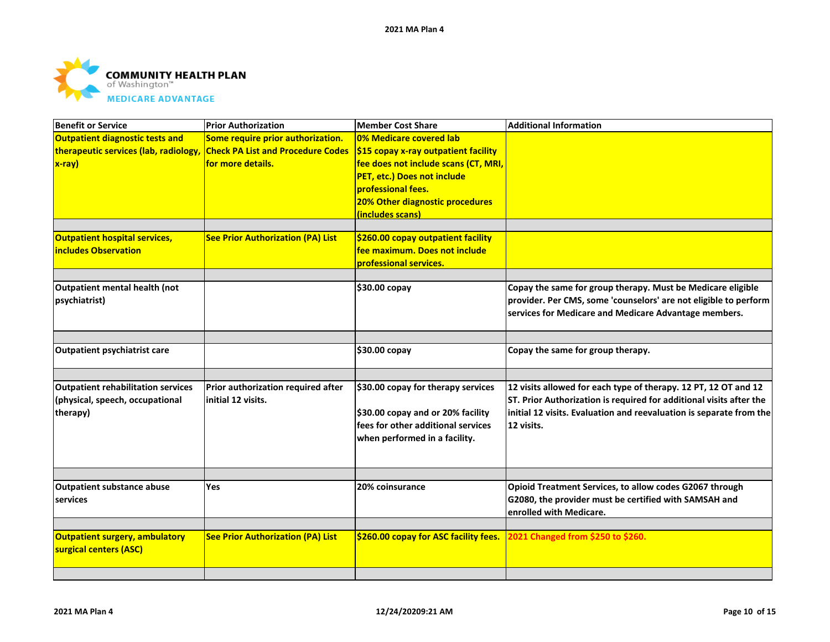

| <b>Benefit or Service</b>                 | <b>Prior Authorization</b>               | <b>Member Cost Share</b>              | <b>Additional Information</b>                                       |
|-------------------------------------------|------------------------------------------|---------------------------------------|---------------------------------------------------------------------|
| <b>Outpatient diagnostic tests and</b>    | Some require prior authorization.        | 0% Medicare covered lab               |                                                                     |
| therapeutic services (lab, radiology,     | <b>Check PA List and Procedure Codes</b> | \$15 copay x-ray outpatient facility  |                                                                     |
| $x-ray)$                                  | for more details.                        | fee does not include scans (CT, MRI,  |                                                                     |
|                                           |                                          | PET, etc.) Does not include           |                                                                     |
|                                           |                                          | professional fees.                    |                                                                     |
|                                           |                                          | 20% Other diagnostic procedures       |                                                                     |
|                                           |                                          | (includes scans)                      |                                                                     |
|                                           |                                          |                                       |                                                                     |
| <b>Outpatient hospital services,</b>      | <b>See Prior Authorization (PA) List</b> | \$260.00 copay outpatient facility    |                                                                     |
| <b>includes Observation</b>               |                                          | fee maximum. Does not include         |                                                                     |
|                                           |                                          | professional services.                |                                                                     |
| Outpatient mental health (not             |                                          | \$30.00 copay                         | Copay the same for group therapy. Must be Medicare eligible         |
| psychiatrist)                             |                                          |                                       | provider. Per CMS, some 'counselors' are not eligible to perform    |
|                                           |                                          |                                       | services for Medicare and Medicare Advantage members.               |
|                                           |                                          |                                       |                                                                     |
|                                           |                                          |                                       |                                                                     |
| Outpatient psychiatrist care              |                                          | \$30.00 copay                         | Copay the same for group therapy.                                   |
|                                           |                                          |                                       |                                                                     |
| <b>Outpatient rehabilitation services</b> | Prior authorization required after       | \$30.00 copay for therapy services    | 12 visits allowed for each type of therapy. 12 PT, 12 OT and 12     |
| (physical, speech, occupational           | initial 12 visits.                       |                                       | ST. Prior Authorization is required for additional visits after the |
| therapy)                                  |                                          | \$30.00 copay and or 20% facility     | initial 12 visits. Evaluation and reevaluation is separate from the |
|                                           |                                          | fees for other additional services    | 12 visits.                                                          |
|                                           |                                          | when performed in a facility.         |                                                                     |
|                                           |                                          |                                       |                                                                     |
|                                           |                                          |                                       |                                                                     |
| <b>Outpatient substance abuse</b>         | <b>Yes</b>                               | 20% coinsurance                       | Opioid Treatment Services, to allow codes G2067 through             |
| services                                  |                                          |                                       | G2080, the provider must be certified with SAMSAH and               |
|                                           |                                          |                                       | enrolled with Medicare.                                             |
|                                           |                                          |                                       |                                                                     |
| Outpatient surgery, ambulatory            | <b>See Prior Authorization (PA) List</b> | \$260.00 copay for ASC facility fees. | 2021 Changed from \$250 to \$260.                                   |
| surgical centers (ASC)                    |                                          |                                       |                                                                     |
|                                           |                                          |                                       |                                                                     |
|                                           |                                          |                                       |                                                                     |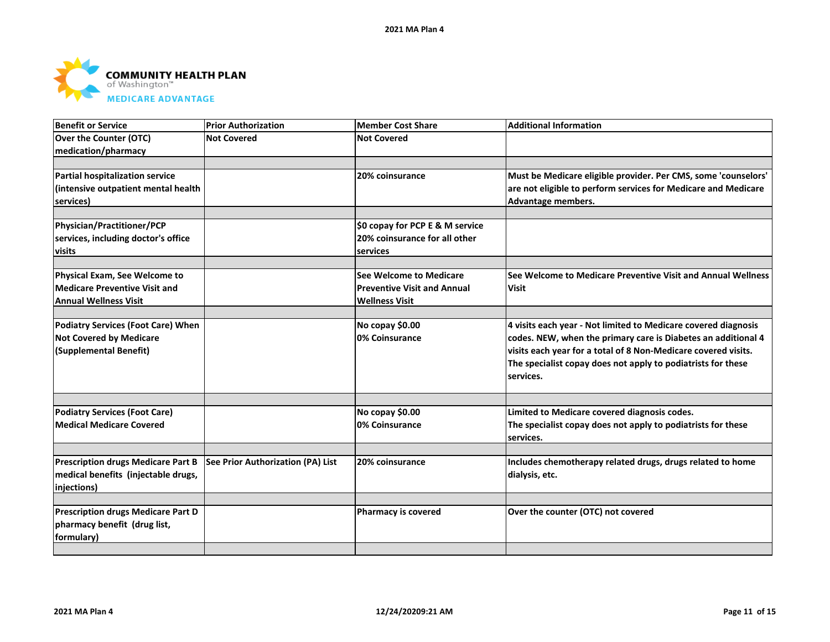

| Benefit or Service                        | <b>Prior Authorization</b>        | <b>Member Cost Share</b>           | <b>Additional Information</b>                                  |
|-------------------------------------------|-----------------------------------|------------------------------------|----------------------------------------------------------------|
| <b>Over the Counter (OTC)</b>             | <b>Not Covered</b>                | <b>Not Covered</b>                 |                                                                |
| medication/pharmacy                       |                                   |                                    |                                                                |
|                                           |                                   |                                    |                                                                |
| Partial hospitalization service           |                                   | 20% coinsurance                    | Must be Medicare eligible provider. Per CMS, some 'counselors' |
| (intensive outpatient mental health       |                                   |                                    | are not eligible to perform services for Medicare and Medicare |
| services)                                 |                                   |                                    | Advantage members.                                             |
| Physician/Practitioner/PCP                |                                   | \$0 copay for PCP E & M service    |                                                                |
| services, including doctor's office       |                                   | 20% coinsurance for all other      |                                                                |
| visits                                    |                                   | services                           |                                                                |
|                                           |                                   |                                    |                                                                |
| Physical Exam, See Welcome to             |                                   | See Welcome to Medicare            | See Welcome to Medicare Preventive Visit and Annual Wellness   |
| <b>Medicare Preventive Visit and</b>      |                                   | <b>Preventive Visit and Annual</b> | <b>Visit</b>                                                   |
| Annual Wellness Visit                     |                                   | <b>Wellness Visit</b>              |                                                                |
| <b>Podiatry Services (Foot Care) When</b> |                                   | No copay \$0.00                    | 4 visits each year - Not limited to Medicare covered diagnosis |
| <b>Not Covered by Medicare</b>            |                                   | 0% Coinsurance                     | codes. NEW, when the primary care is Diabetes an additional 4  |
|                                           |                                   |                                    | visits each year for a total of 8 Non-Medicare covered visits. |
| (Supplemental Benefit)                    |                                   |                                    |                                                                |
|                                           |                                   |                                    | The specialist copay does not apply to podiatrists for these   |
|                                           |                                   |                                    | Iservices.                                                     |
|                                           |                                   |                                    |                                                                |
| <b>Podiatry Services (Foot Care)</b>      |                                   | No copay \$0.00                    | Limited to Medicare covered diagnosis codes.                   |
| <b>Medical Medicare Covered</b>           |                                   | 0% Coinsurance                     | The specialist copay does not apply to podiatrists for these   |
|                                           |                                   |                                    | services.                                                      |
| <b>Prescription drugs Medicare Part B</b> | See Prior Authorization (PA) List | 20% coinsurance                    | Includes chemotherapy related drugs, drugs related to home     |
| medical benefits (injectable drugs,       |                                   |                                    |                                                                |
|                                           |                                   |                                    | dialysis, etc.                                                 |
| injections)                               |                                   |                                    |                                                                |
| <b>Prescription drugs Medicare Part D</b> |                                   | <b>Pharmacy is covered</b>         | Over the counter (OTC) not covered                             |
| pharmacy benefit (drug list,              |                                   |                                    |                                                                |
| formulary)                                |                                   |                                    |                                                                |
|                                           |                                   |                                    |                                                                |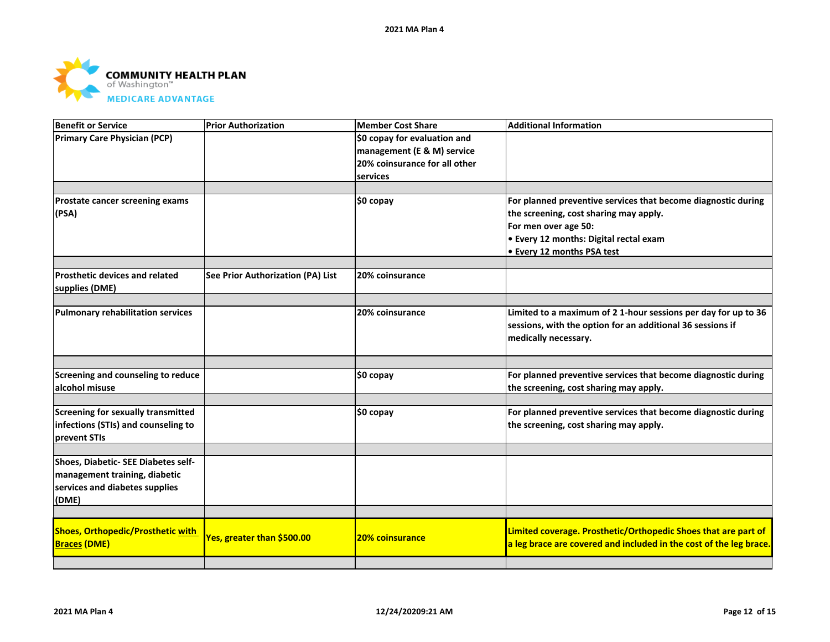

| Benefit or Service                                                                                              | <b>Prior Authorization</b>        | <b>Member Cost Share</b>                                                                    | <b>Additional Information</b>                                                                                                                                                                                |
|-----------------------------------------------------------------------------------------------------------------|-----------------------------------|---------------------------------------------------------------------------------------------|--------------------------------------------------------------------------------------------------------------------------------------------------------------------------------------------------------------|
| <b>Primary Care Physician (PCP)</b>                                                                             |                                   | \$0 copay for evaluation and<br>management (E & M) service<br>20% coinsurance for all other |                                                                                                                                                                                                              |
|                                                                                                                 |                                   | services                                                                                    |                                                                                                                                                                                                              |
| <b>Prostate cancer screening exams</b><br>(PSA)                                                                 |                                   | \$0 copay                                                                                   | For planned preventive services that become diagnostic during<br>the screening, cost sharing may apply.<br>For men over age 50:<br>• Every 12 months: Digital rectal exam<br><b>Every 12 months PSA test</b> |
| <b>Prosthetic devices and related</b><br>supplies (DME)                                                         | See Prior Authorization (PA) List | 20% coinsurance                                                                             |                                                                                                                                                                                                              |
| Pulmonary rehabilitation services                                                                               |                                   | 20% coinsurance                                                                             | Limited to a maximum of 2 1-hour sessions per day for up to 36<br>sessions, with the option for an additional 36 sessions if<br>medically necessary.                                                         |
| Screening and counseling to reduce<br>alcohol misuse                                                            |                                   | \$0 copay                                                                                   | For planned preventive services that become diagnostic during<br>the screening, cost sharing may apply.                                                                                                      |
| Screening for sexually transmitted<br>infections (STIs) and counseling to<br>prevent STIs                       |                                   | \$0 copay                                                                                   | For planned preventive services that become diagnostic during<br>the screening, cost sharing may apply.                                                                                                      |
| Shoes, Diabetic- SEE Diabetes self-<br>management training, diabetic<br>services and diabetes supplies<br>(DME) |                                   |                                                                                             |                                                                                                                                                                                                              |
| <b>Shoes, Orthopedic/Prosthetic with</b>                                                                        |                                   |                                                                                             | Limited coverage. Prosthetic/Orthopedic Shoes that are part of                                                                                                                                               |
| <b>Braces (DME)</b>                                                                                             | Yes, greater than \$500.00        | <b>20% coinsurance</b>                                                                      | a leg brace are covered and included in the cost of the leg brace.                                                                                                                                           |
|                                                                                                                 |                                   |                                                                                             |                                                                                                                                                                                                              |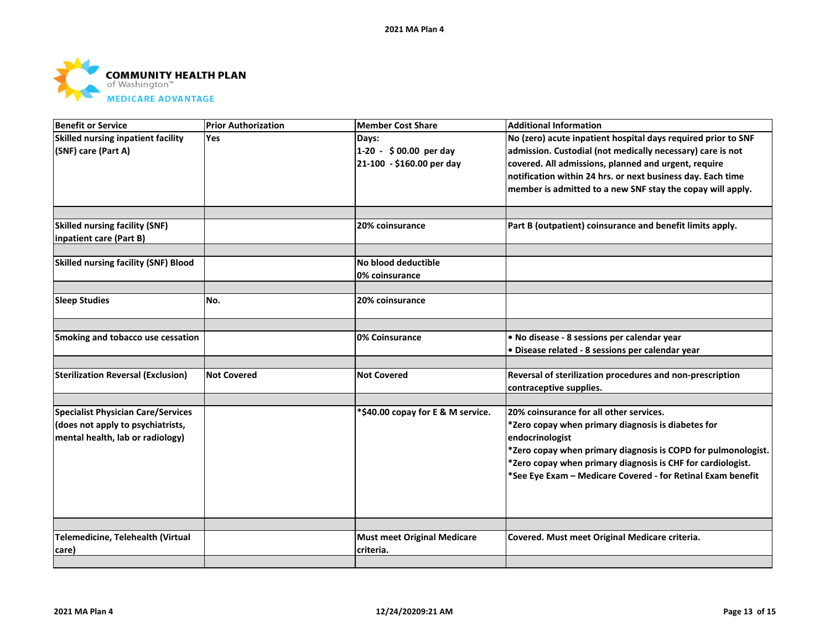

| <b>Benefit or Service</b>                   | <b>Prior Authorization</b> | <b>Member Cost Share</b>           | <b>Additional Information</b>                                 |
|---------------------------------------------|----------------------------|------------------------------------|---------------------------------------------------------------|
| Skilled nursing inpatient facility          | <b>Yes</b>                 | Days:                              | No (zero) acute inpatient hospital days required prior to SNF |
| (SNF) care (Part A)                         |                            | 1-20 - \$00.00 per day             | admission. Custodial (not medically necessary) care is not    |
|                                             |                            | 21-100 - \$160.00 per day          | covered. All admissions, planned and urgent, require          |
|                                             |                            |                                    | notification within 24 hrs. or next business day. Each time   |
|                                             |                            |                                    | member is admitted to a new SNF stay the copay will apply.    |
|                                             |                            |                                    |                                                               |
| <b>Skilled nursing facility (SNF)</b>       |                            | 20% coinsurance                    | Part B (outpatient) coinsurance and benefit limits apply.     |
| inpatient care (Part B)                     |                            |                                    |                                                               |
| <b>Skilled nursing facility (SNF) Blood</b> |                            | No blood deductible                |                                                               |
|                                             |                            | 0% coinsurance                     |                                                               |
|                                             |                            |                                    |                                                               |
| <b>Sleep Studies</b>                        | No.                        | 20% coinsurance                    |                                                               |
|                                             |                            |                                    |                                                               |
| Smoking and tobacco use cessation           |                            | 0% Coinsurance                     | · No disease - 8 sessions per calendar year                   |
|                                             |                            |                                    | . Disease related - 8 sessions per calendar year              |
| <b>Sterilization Reversal (Exclusion)</b>   | <b>Not Covered</b>         | <b>Not Covered</b>                 | Reversal of sterilization procedures and non-prescription     |
|                                             |                            |                                    | contraceptive supplies.                                       |
|                                             |                            |                                    |                                                               |
| <b>Specialist Physician Care/Services</b>   |                            | *\$40.00 copay for E & M service.  | 20% coinsurance for all other services.                       |
| (does not apply to psychiatrists,           |                            |                                    | *Zero copay when primary diagnosis is diabetes for            |
| mental health, lab or radiology)            |                            |                                    | endocrinologist                                               |
|                                             |                            |                                    | *Zero copay when primary diagnosis is COPD for pulmonologist. |
|                                             |                            |                                    | *Zero copay when primary diagnosis is CHF for cardiologist.   |
|                                             |                            |                                    | *See Eye Exam - Medicare Covered - for Retinal Exam benefit   |
|                                             |                            |                                    |                                                               |
|                                             |                            |                                    |                                                               |
|                                             |                            |                                    |                                                               |
| Telemedicine, Telehealth (Virtual           |                            | <b>Must meet Original Medicare</b> | Covered. Must meet Original Medicare criteria.                |
| care)                                       |                            | criteria.                          |                                                               |
|                                             |                            |                                    |                                                               |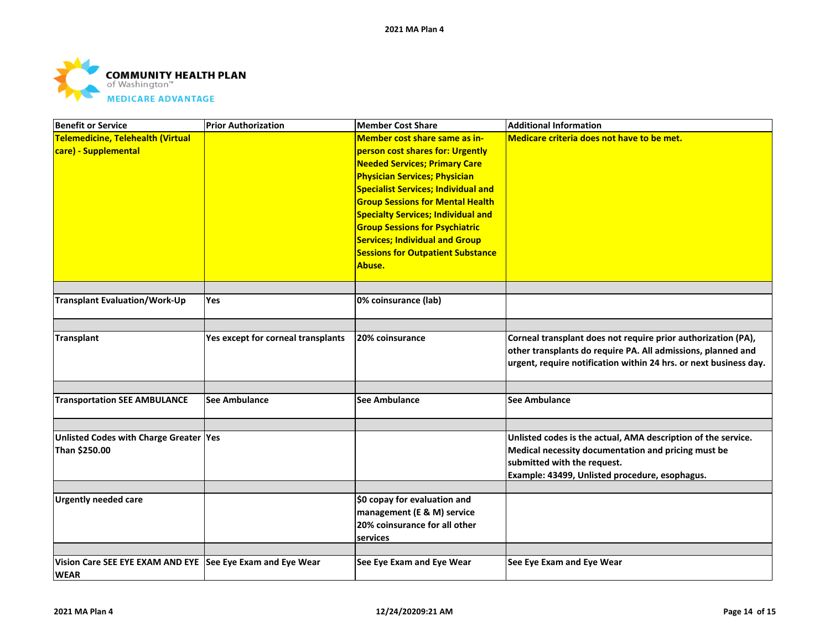

| Member cost share same as in-<br>Medicare criteria does not have to be met.<br>person cost shares for: Urgently<br><b>Needed Services; Primary Care</b><br><b>Physician Services; Physician</b><br><b>Specialist Services; Individual and</b><br><b>Group Sessions for Mental Health</b><br><b>Specialty Services; Individual and</b><br><b>Group Sessions for Psychiatric</b><br><b>Services; Individual and Group</b><br><b>Sessions for Outpatient Substance</b><br>Abuse.<br><b>Transplant Evaluation/Work-Up</b><br>0% coinsurance (lab)<br>Yes<br>Yes except for corneal transplants<br>20% coinsurance<br>Corneal transplant does not require prior authorization (PA),<br>other transplants do require PA. All admissions, planned and<br>urgent, require notification within 24 hrs. or next business day.<br><b>Transportation SEE AMBULANCE</b><br><b>See Ambulance</b><br><b>See Ambulance</b><br>See Ambulance<br>Unlisted Codes with Charge Greater Yes<br>Unlisted codes is the actual, AMA description of the service.<br>Medical necessity documentation and pricing must be<br>submitted with the request.<br>Example: 43499, Unlisted procedure, esophagus.<br>\$0 copay for evaluation and<br><b>Urgently needed care</b><br>management (E & M) service<br>20% coinsurance for all other<br>services<br>Vision Care SEE EYE EXAM AND EYE See Eye Exam and Eye Wear<br>See Eye Exam and Eye Wear<br>See Eye Exam and Eye Wear | <b>Benefit or Service</b>         | <b>Prior Authorization</b> | <b>Member Cost Share</b> | <b>Additional Information</b> |
|--------------------------------------------------------------------------------------------------------------------------------------------------------------------------------------------------------------------------------------------------------------------------------------------------------------------------------------------------------------------------------------------------------------------------------------------------------------------------------------------------------------------------------------------------------------------------------------------------------------------------------------------------------------------------------------------------------------------------------------------------------------------------------------------------------------------------------------------------------------------------------------------------------------------------------------------------------------------------------------------------------------------------------------------------------------------------------------------------------------------------------------------------------------------------------------------------------------------------------------------------------------------------------------------------------------------------------------------------------------------------------------------------------------------------------------------------|-----------------------------------|----------------------------|--------------------------|-------------------------------|
|                                                                                                                                                                                                                                                                                                                                                                                                                                                                                                                                                                                                                                                                                                                                                                                                                                                                                                                                                                                                                                                                                                                                                                                                                                                                                                                                                                                                                                                  | Telemedicine, Telehealth (Virtual |                            |                          |                               |
|                                                                                                                                                                                                                                                                                                                                                                                                                                                                                                                                                                                                                                                                                                                                                                                                                                                                                                                                                                                                                                                                                                                                                                                                                                                                                                                                                                                                                                                  | care) - Supplemental              |                            |                          |                               |
|                                                                                                                                                                                                                                                                                                                                                                                                                                                                                                                                                                                                                                                                                                                                                                                                                                                                                                                                                                                                                                                                                                                                                                                                                                                                                                                                                                                                                                                  |                                   |                            |                          |                               |
|                                                                                                                                                                                                                                                                                                                                                                                                                                                                                                                                                                                                                                                                                                                                                                                                                                                                                                                                                                                                                                                                                                                                                                                                                                                                                                                                                                                                                                                  |                                   |                            |                          |                               |
|                                                                                                                                                                                                                                                                                                                                                                                                                                                                                                                                                                                                                                                                                                                                                                                                                                                                                                                                                                                                                                                                                                                                                                                                                                                                                                                                                                                                                                                  |                                   |                            |                          |                               |
|                                                                                                                                                                                                                                                                                                                                                                                                                                                                                                                                                                                                                                                                                                                                                                                                                                                                                                                                                                                                                                                                                                                                                                                                                                                                                                                                                                                                                                                  |                                   |                            |                          |                               |
|                                                                                                                                                                                                                                                                                                                                                                                                                                                                                                                                                                                                                                                                                                                                                                                                                                                                                                                                                                                                                                                                                                                                                                                                                                                                                                                                                                                                                                                  |                                   |                            |                          |                               |
|                                                                                                                                                                                                                                                                                                                                                                                                                                                                                                                                                                                                                                                                                                                                                                                                                                                                                                                                                                                                                                                                                                                                                                                                                                                                                                                                                                                                                                                  |                                   |                            |                          |                               |
|                                                                                                                                                                                                                                                                                                                                                                                                                                                                                                                                                                                                                                                                                                                                                                                                                                                                                                                                                                                                                                                                                                                                                                                                                                                                                                                                                                                                                                                  |                                   |                            |                          |                               |
|                                                                                                                                                                                                                                                                                                                                                                                                                                                                                                                                                                                                                                                                                                                                                                                                                                                                                                                                                                                                                                                                                                                                                                                                                                                                                                                                                                                                                                                  |                                   |                            |                          |                               |
|                                                                                                                                                                                                                                                                                                                                                                                                                                                                                                                                                                                                                                                                                                                                                                                                                                                                                                                                                                                                                                                                                                                                                                                                                                                                                                                                                                                                                                                  |                                   |                            |                          |                               |
|                                                                                                                                                                                                                                                                                                                                                                                                                                                                                                                                                                                                                                                                                                                                                                                                                                                                                                                                                                                                                                                                                                                                                                                                                                                                                                                                                                                                                                                  |                                   |                            |                          |                               |
|                                                                                                                                                                                                                                                                                                                                                                                                                                                                                                                                                                                                                                                                                                                                                                                                                                                                                                                                                                                                                                                                                                                                                                                                                                                                                                                                                                                                                                                  |                                   |                            |                          |                               |
|                                                                                                                                                                                                                                                                                                                                                                                                                                                                                                                                                                                                                                                                                                                                                                                                                                                                                                                                                                                                                                                                                                                                                                                                                                                                                                                                                                                                                                                  |                                   |                            |                          |                               |
|                                                                                                                                                                                                                                                                                                                                                                                                                                                                                                                                                                                                                                                                                                                                                                                                                                                                                                                                                                                                                                                                                                                                                                                                                                                                                                                                                                                                                                                  |                                   |                            |                          |                               |
|                                                                                                                                                                                                                                                                                                                                                                                                                                                                                                                                                                                                                                                                                                                                                                                                                                                                                                                                                                                                                                                                                                                                                                                                                                                                                                                                                                                                                                                  | Transplant                        |                            |                          |                               |
|                                                                                                                                                                                                                                                                                                                                                                                                                                                                                                                                                                                                                                                                                                                                                                                                                                                                                                                                                                                                                                                                                                                                                                                                                                                                                                                                                                                                                                                  |                                   |                            |                          |                               |
|                                                                                                                                                                                                                                                                                                                                                                                                                                                                                                                                                                                                                                                                                                                                                                                                                                                                                                                                                                                                                                                                                                                                                                                                                                                                                                                                                                                                                                                  |                                   |                            |                          |                               |
|                                                                                                                                                                                                                                                                                                                                                                                                                                                                                                                                                                                                                                                                                                                                                                                                                                                                                                                                                                                                                                                                                                                                                                                                                                                                                                                                                                                                                                                  |                                   |                            |                          |                               |
|                                                                                                                                                                                                                                                                                                                                                                                                                                                                                                                                                                                                                                                                                                                                                                                                                                                                                                                                                                                                                                                                                                                                                                                                                                                                                                                                                                                                                                                  |                                   |                            |                          |                               |
|                                                                                                                                                                                                                                                                                                                                                                                                                                                                                                                                                                                                                                                                                                                                                                                                                                                                                                                                                                                                                                                                                                                                                                                                                                                                                                                                                                                                                                                  |                                   |                            |                          |                               |
|                                                                                                                                                                                                                                                                                                                                                                                                                                                                                                                                                                                                                                                                                                                                                                                                                                                                                                                                                                                                                                                                                                                                                                                                                                                                                                                                                                                                                                                  |                                   |                            |                          |                               |
|                                                                                                                                                                                                                                                                                                                                                                                                                                                                                                                                                                                                                                                                                                                                                                                                                                                                                                                                                                                                                                                                                                                                                                                                                                                                                                                                                                                                                                                  |                                   |                            |                          |                               |
|                                                                                                                                                                                                                                                                                                                                                                                                                                                                                                                                                                                                                                                                                                                                                                                                                                                                                                                                                                                                                                                                                                                                                                                                                                                                                                                                                                                                                                                  | Than \$250.00                     |                            |                          |                               |
|                                                                                                                                                                                                                                                                                                                                                                                                                                                                                                                                                                                                                                                                                                                                                                                                                                                                                                                                                                                                                                                                                                                                                                                                                                                                                                                                                                                                                                                  |                                   |                            |                          |                               |
|                                                                                                                                                                                                                                                                                                                                                                                                                                                                                                                                                                                                                                                                                                                                                                                                                                                                                                                                                                                                                                                                                                                                                                                                                                                                                                                                                                                                                                                  |                                   |                            |                          |                               |
|                                                                                                                                                                                                                                                                                                                                                                                                                                                                                                                                                                                                                                                                                                                                                                                                                                                                                                                                                                                                                                                                                                                                                                                                                                                                                                                                                                                                                                                  |                                   |                            |                          |                               |
|                                                                                                                                                                                                                                                                                                                                                                                                                                                                                                                                                                                                                                                                                                                                                                                                                                                                                                                                                                                                                                                                                                                                                                                                                                                                                                                                                                                                                                                  |                                   |                            |                          |                               |
|                                                                                                                                                                                                                                                                                                                                                                                                                                                                                                                                                                                                                                                                                                                                                                                                                                                                                                                                                                                                                                                                                                                                                                                                                                                                                                                                                                                                                                                  |                                   |                            |                          |                               |
|                                                                                                                                                                                                                                                                                                                                                                                                                                                                                                                                                                                                                                                                                                                                                                                                                                                                                                                                                                                                                                                                                                                                                                                                                                                                                                                                                                                                                                                  |                                   |                            |                          |                               |
|                                                                                                                                                                                                                                                                                                                                                                                                                                                                                                                                                                                                                                                                                                                                                                                                                                                                                                                                                                                                                                                                                                                                                                                                                                                                                                                                                                                                                                                  |                                   |                            |                          |                               |
|                                                                                                                                                                                                                                                                                                                                                                                                                                                                                                                                                                                                                                                                                                                                                                                                                                                                                                                                                                                                                                                                                                                                                                                                                                                                                                                                                                                                                                                  |                                   |                            |                          |                               |
|                                                                                                                                                                                                                                                                                                                                                                                                                                                                                                                                                                                                                                                                                                                                                                                                                                                                                                                                                                                                                                                                                                                                                                                                                                                                                                                                                                                                                                                  | <b>WEAR</b>                       |                            |                          |                               |